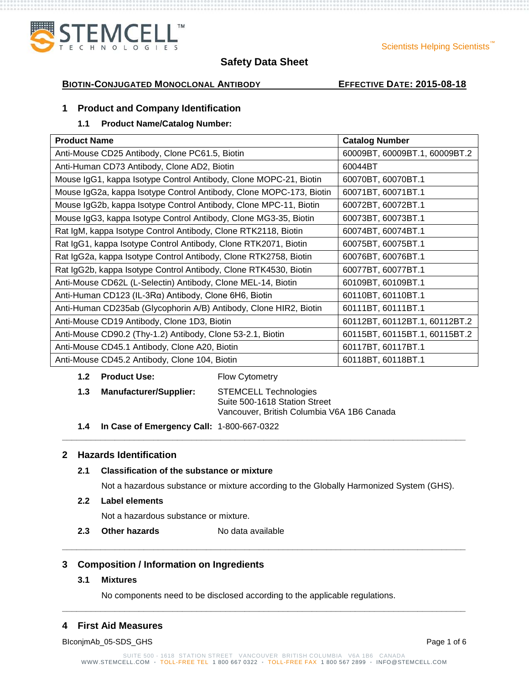

#### Scientists Helping Scientists

# **Safety Data Sheet**

## **BIOTIN-CONJUGATED MONOCLONAL ANTIBODY EFFECTIVE DATE: 2015-08-18**

## **1 Product and Company Identification**

# **1.1 Product Name/Catalog Number:**

| <b>Product Name</b>                                                 | <b>Catalog Number</b>         |
|---------------------------------------------------------------------|-------------------------------|
| Anti-Mouse CD25 Antibody, Clone PC61.5, Biotin                      | 60009BT, 60009BT.1, 60009BT.2 |
| Anti-Human CD73 Antibody, Clone AD2, Biotin                         | 60044BT                       |
| Mouse IgG1, kappa Isotype Control Antibody, Clone MOPC-21, Biotin   | 60070BT, 60070BT.1            |
| Mouse IgG2a, kappa Isotype Control Antibody, Clone MOPC-173, Biotin | 60071BT, 60071BT.1            |
| Mouse IgG2b, kappa Isotype Control Antibody, Clone MPC-11, Biotin   | 60072BT, 60072BT.1            |
| Mouse IgG3, kappa Isotype Control Antibody, Clone MG3-35, Biotin    | 60073BT, 60073BT.1            |
| Rat IgM, kappa Isotype Control Antibody, Clone RTK2118, Biotin      | 60074BT, 60074BT.1            |
| Rat IgG1, kappa Isotype Control Antibody, Clone RTK2071, Biotin     | 60075BT, 60075BT.1            |
| Rat IgG2a, kappa Isotype Control Antibody, Clone RTK2758, Biotin    | 60076BT, 60076BT.1            |
| Rat IgG2b, kappa Isotype Control Antibody, Clone RTK4530, Biotin    | 60077BT, 60077BT.1            |
| Anti-Mouse CD62L (L-Selectin) Antibody, Clone MEL-14, Biotin        | 60109BT, 60109BT.1            |
| Anti-Human CD123 (IL-3Rα) Antibody, Clone 6H6, Biotin               | 60110BT, 60110BT.1            |
| Anti-Human CD235ab (Glycophorin A/B) Antibody, Clone HIR2, Biotin   | 60111BT, 60111BT.1            |
| Anti-Mouse CD19 Antibody, Clone 1D3, Biotin                         | 60112BT, 60112BT.1, 60112BT.2 |
| Anti-Mouse CD90.2 (Thy-1.2) Antibody, Clone 53-2.1, Biotin          | 60115BT, 60115BT.1, 60115BT.2 |
| Anti-Mouse CD45.1 Antibody, Clone A20, Biotin                       | 60117BT, 60117BT.1            |
| Anti-Mouse CD45.2 Antibody, Clone 104, Biotin                       | 60118BT, 60118BT.1            |

#### **1.2 Product Use:** Flow Cytometry

| 1.3 | <b>Manufacturer/Supplier:</b> | <b>STEMCELL Technologies</b>               |  |
|-----|-------------------------------|--------------------------------------------|--|
|     |                               | Suite 500-1618 Station Street              |  |
|     |                               | Vancouver, British Columbia V6A 1B6 Canada |  |

**1.4 In Case of Emergency Call:** 1-800-667-0322

## **2 Hazards Identification**

## **2.1 Classification of the substance or mixture**

Not a hazardous substance or mixture according to the Globally Harmonized System (GHS).

**\_\_\_\_\_\_\_\_\_\_\_\_\_\_\_\_\_\_\_\_\_\_\_\_\_\_\_\_\_\_\_\_\_\_\_\_\_\_\_\_\_\_\_\_\_\_\_\_\_\_\_\_\_\_\_\_\_\_\_\_\_\_\_\_\_\_\_\_\_\_\_\_\_\_\_\_\_\_\_\_\_\_\_\_**

**\_\_\_\_\_\_\_\_\_\_\_\_\_\_\_\_\_\_\_\_\_\_\_\_\_\_\_\_\_\_\_\_\_\_\_\_\_\_\_\_\_\_\_\_\_\_\_\_\_\_\_\_\_\_\_\_\_\_\_\_\_\_\_\_\_\_\_\_\_\_\_\_\_\_\_\_\_\_\_\_\_\_\_\_**

#### **2.2 Label elements**

Not a hazardous substance or mixture.

**2.3 Other hazards** No data available

#### **3 Composition / Information on Ingredients**

#### **3.1 Mixtures**

No components need to be disclosed according to the applicable regulations.

# **4 First Aid Measures**

BIconjmAb\_05-SDS\_GHS Page 1 of 6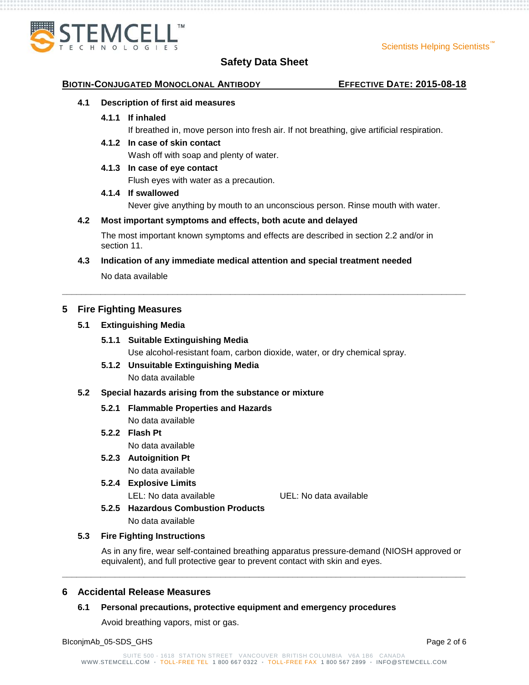

#### **BIOTIN-CONJUGATED MONOCLONAL ANTIBODY EFFECTIVE DATE: 2015-08-18**

#### **4.1 Description of first aid measures**

#### **4.1.1 If inhaled**

If breathed in, move person into fresh air. If not breathing, give artificial respiration.

**4.1.2 In case of skin contact**

Wash off with soap and plenty of water.

## **4.1.3 In case of eye contact**

Flush eyes with water as a precaution.

#### **4.1.4 If swallowed**

Never give anything by mouth to an unconscious person. Rinse mouth with water.

#### **4.2 Most important symptoms and effects, both acute and delayed**

The most important known symptoms and effects are described in section 2.2 and/or in section 11.

**\_\_\_\_\_\_\_\_\_\_\_\_\_\_\_\_\_\_\_\_\_\_\_\_\_\_\_\_\_\_\_\_\_\_\_\_\_\_\_\_\_\_\_\_\_\_\_\_\_\_\_\_\_\_\_\_\_\_\_\_\_\_\_\_\_\_\_\_\_\_\_\_\_\_\_\_\_\_\_\_\_\_\_\_**

**4.3 Indication of any immediate medical attention and special treatment needed**

No data available

## **5 Fire Fighting Measures**

#### **5.1 Extinguishing Media**

#### **5.1.1 Suitable Extinguishing Media**

Use alcohol-resistant foam, carbon dioxide, water, or dry chemical spray.

# **5.1.2 Unsuitable Extinguishing Media**

No data available

#### **5.2 Special hazards arising from the substance or mixture**

# **5.2.1 Flammable Properties and Hazards**

No data available

# **5.2.2 Flash Pt** No data available

# **5.2.3 Autoignition Pt**

No data available

**5.2.4 Explosive Limits**

LEL: No data available UEL: No data available

**5.2.5 Hazardous Combustion Products**

No data available

#### **5.3 Fire Fighting Instructions**

As in any fire, wear self-contained breathing apparatus pressure-demand (NIOSH approved or equivalent), and full protective gear to prevent contact with skin and eyes.

#### **6 Accidental Release Measures**

#### **6.1 Personal precautions, protective equipment and emergency procedures**

Avoid breathing vapors, mist or gas.

BIconjmAb\_05-SDS\_GHS Page 2 of 6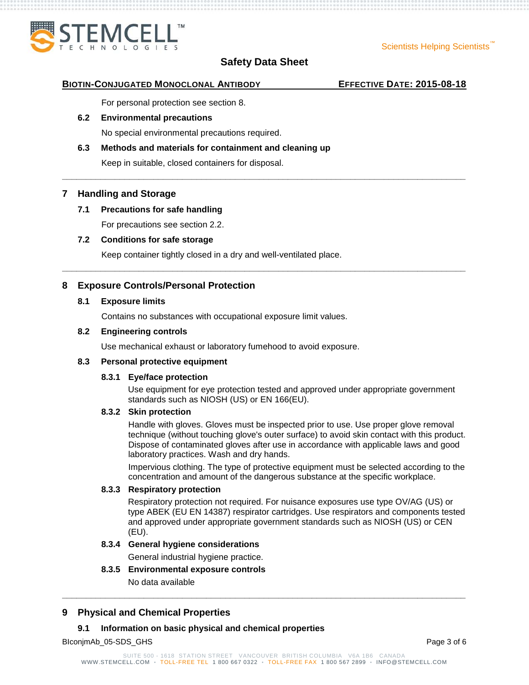

**\_\_\_\_\_\_\_\_\_\_\_\_\_\_\_\_\_\_\_\_\_\_\_\_\_\_\_\_\_\_\_\_\_\_\_\_\_\_\_\_\_\_\_\_\_\_\_\_\_\_\_\_\_\_\_\_\_\_\_\_\_\_\_\_\_\_\_\_\_\_\_\_\_\_\_\_\_\_\_\_\_\_\_\_**

**\_\_\_\_\_\_\_\_\_\_\_\_\_\_\_\_\_\_\_\_\_\_\_\_\_\_\_\_\_\_\_\_\_\_\_\_\_\_\_\_\_\_\_\_\_\_\_\_\_\_\_\_\_\_\_\_\_\_\_\_\_\_\_\_\_\_\_\_\_\_\_\_\_\_\_\_\_\_\_\_\_\_\_\_**

**BIOTIN-CONJUGATED MONOCLONAL ANTIBODY EFFECTIVE DATE: 2015-08-18**

For personal protection see section 8.

#### **6.2 Environmental precautions**

No special environmental precautions required.

# **6.3 Methods and materials for containment and cleaning up**

Keep in suitable, closed containers for disposal.

## **7 Handling and Storage**

## **7.1 Precautions for safe handling**

For precautions see section 2.2.

#### **7.2 Conditions for safe storage**

Keep container tightly closed in a dry and well-ventilated place.

# **8 Exposure Controls/Personal Protection**

#### **8.1 Exposure limits**

Contains no substances with occupational exposure limit values.

#### **8.2 Engineering controls**

Use mechanical exhaust or laboratory fumehood to avoid exposure.

#### **8.3 Personal protective equipment**

#### **8.3.1 Eye/face protection**

Use equipment for eye protection tested and approved under appropriate government standards such as NIOSH (US) or EN 166(EU).

#### **8.3.2 Skin protection**

Handle with gloves. Gloves must be inspected prior to use. Use proper glove removal technique (without touching glove's outer surface) to avoid skin contact with this product. Dispose of contaminated gloves after use in accordance with applicable laws and good laboratory practices. Wash and dry hands.

Impervious clothing. The type of protective equipment must be selected according to the concentration and amount of the dangerous substance at the specific workplace.

#### **8.3.3 Respiratory protection**

Respiratory protection not required. For nuisance exposures use type OV/AG (US) or type ABEK (EU EN 14387) respirator cartridges. Use respirators and components tested and approved under appropriate government standards such as NIOSH (US) or CEN (EU).

#### **8.3.4 General hygiene considerations**

General industrial hygiene practice.

#### **8.3.5 Environmental exposure controls**

No data available

# **9 Physical and Chemical Properties**

#### **9.1 Information on basic physical and chemical properties**

BIconjmAb\_05-SDS\_GHS Page 3 of 6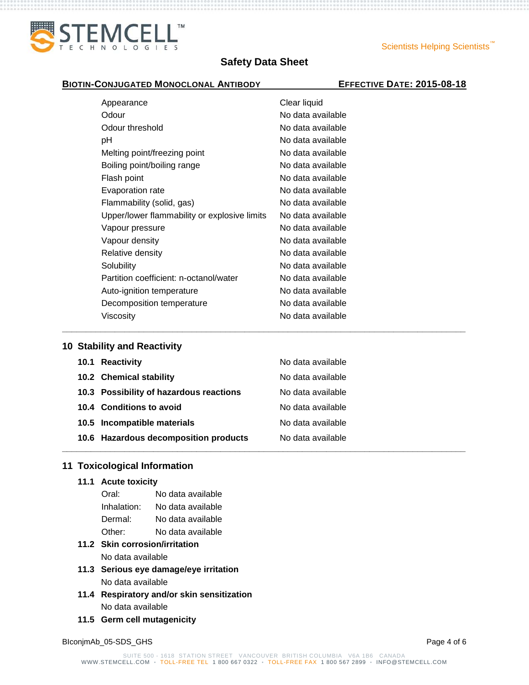

**\_\_\_\_\_\_\_\_\_\_\_\_\_\_\_\_\_\_\_\_\_\_\_\_\_\_\_\_\_\_\_\_\_\_\_\_\_\_\_\_\_\_\_\_\_\_\_\_\_\_\_\_\_\_\_\_\_\_\_\_\_\_\_\_\_\_\_\_\_\_\_\_\_\_\_\_\_\_\_\_\_\_\_\_**

#### **BIOTIN-CONJUGATED MONOCLONAL ANTIBODY EFFECTIVE DATE: 2015-08-18**

| Appearance                                   | Clear liquid      |
|----------------------------------------------|-------------------|
| Odour                                        | No data available |
| Odour threshold                              | No data available |
| рH                                           | No data available |
| Melting point/freezing point                 | No data available |
| Boiling point/boiling range                  | No data available |
| Flash point                                  | No data available |
| Evaporation rate                             | No data available |
| Flammability (solid, gas)                    | No data available |
| Upper/lower flammability or explosive limits | No data available |
| Vapour pressure                              | No data available |
| Vapour density                               | No data available |
| Relative density                             | No data available |
| Solubility                                   | No data available |
| Partition coefficient: n-octanol/water       | No data available |
| Auto-ignition temperature                    | No data available |
| Decomposition temperature                    | No data available |
| Viscosity                                    | No data available |

## **10 Stability and Reactivity**

| 10.1 Reactivity                         | No data available |
|-----------------------------------------|-------------------|
| 10.2 Chemical stability                 | No data available |
| 10.3 Possibility of hazardous reactions | No data available |
| 10.4 Conditions to avoid                | No data available |
| 10.5 Incompatible materials             | No data available |
| 10.6 Hazardous decomposition products   | No data available |
|                                         |                   |

# **11 Toxicological Information**

**11.1 Acute toxicity**

| Oral:       | No data available |
|-------------|-------------------|
| Inhalation: | No data available |
| Dermal:     | No data available |
| Other:      | No data available |

# **11.2 Skin corrosion/irritation**

No data available

- **11.3 Serious eye damage/eye irritation** No data available
- **11.4 Respiratory and/or skin sensitization** No data available
- **11.5 Germ cell mutagenicity**

BIconjmAb\_05-SDS\_GHS Page 4 of 6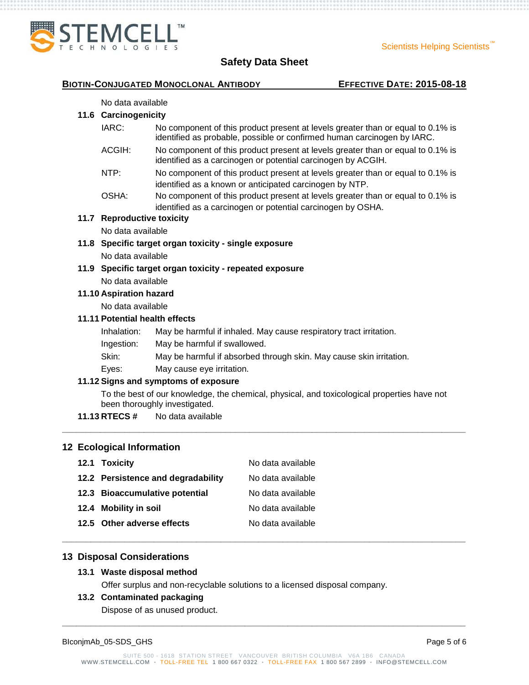

#### **BIOTIN-CONJUGATED MONOCLONAL ANTIBODY EFFECTIVE DATE: 2015-08-18**

#### No data available

# **11.6 Carcinogenicity**

- IARC: No component of this product present at levels greater than or equal to 0.1% is identified as probable, possible or confirmed human carcinogen by IARC.
- ACGIH: No component of this product present at levels greater than or equal to 0.1% is identified as a carcinogen or potential carcinogen by ACGIH.
- NTP: No component of this product present at levels greater than or equal to 0.1% is identified as a known or anticipated carcinogen by NTP.
- OSHA: No component of this product present at levels greater than or equal to 0.1% is identified as a carcinogen or potential carcinogen by OSHA.

# **11.7 Reproductive toxicity**

No data available

- **11.8 Specific target organ toxicity - single exposure** No data available
- **11.9 Specific target organ toxicity - repeated exposure** No data available

#### **11.10 Aspiration hazard**

No data available

# **11.11 Potential health effects**

- Inhalation: May be harmful if inhaled. May cause respiratory tract irritation.
- Ingestion: May be harmful if swallowed.
- Skin: May be harmful if absorbed through skin. May cause skin irritation.
- Eyes: May cause eye irritation.

#### **11.12 Signs and symptoms of exposure**

To the best of our knowledge, the chemical, physical, and toxicological properties have not been thoroughly investigated.

**\_\_\_\_\_\_\_\_\_\_\_\_\_\_\_\_\_\_\_\_\_\_\_\_\_\_\_\_\_\_\_\_\_\_\_\_\_\_\_\_\_\_\_\_\_\_\_\_\_\_\_\_\_\_\_\_\_\_\_\_\_\_\_\_\_\_\_\_\_\_\_\_\_\_\_\_\_\_\_\_\_\_\_\_**

**\_\_\_\_\_\_\_\_\_\_\_\_\_\_\_\_\_\_\_\_\_\_\_\_\_\_\_\_\_\_\_\_\_\_\_\_\_\_\_\_\_\_\_\_\_\_\_\_\_\_\_\_\_\_\_\_\_\_\_\_\_\_\_\_\_\_\_\_\_\_\_\_\_\_\_\_\_\_\_\_\_\_\_\_**

**11.13 RTECS #** No data available

# **12 Ecological Information**

| 12.1 Toxicity                      | No data available |
|------------------------------------|-------------------|
| 12.2 Persistence and degradability | No data available |
| 12.3 Bioaccumulative potential     | No data available |
| 12.4 Mobility in soil              | No data available |
| 12.5 Other adverse effects         | No data available |

# **13 Disposal Considerations**

#### **13.1 Waste disposal method**

Offer surplus and non-recyclable solutions to a licensed disposal company.

#### **13.2 Contaminated packaging**

Dispose of as unused product.